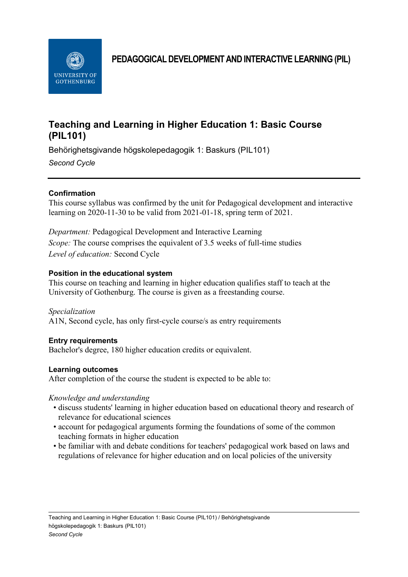

**PEDAGOGICAL DEVELOPMENTAND INTERACTIVE LEARNING (PIL)**

# **Teaching and Learning in Higher Education 1: Basic Course (PIL101)**

Behörighetsgivande högskolepedagogik 1: Baskurs (PIL101)

*Second Cycle*

# **Confirmation**

This course syllabus was confirmed by the unit for Pedagogical development and interactive learning on 2020-11-30 to be valid from 2021-01-18, spring term of 2021.

*Department:* Pedagogical Development and Interactive Learning *Scope:* The course comprises the equivalent of 3.5 weeks of full-time studies *Level of education:* Second Cycle

# **Position in the educational system**

This course on teaching and learning in higher education qualifies staff to teach at the University of Gothenburg. The course is given as a freestanding course.

*Specialization* A1N, Second cycle, has only first-cycle course/s as entry requirements

# **Entry requirements**

Bachelor's degree, 180 higher education credits or equivalent.

## **Learning outcomes**

After completion of the course the student is expected to be able to:

## *Knowledge and understanding*

- discuss students' learning in higher education based on educational theory and research of relevance for educational sciences
- account for pedagogical arguments forming the foundations of some of the common teaching formats in higher education
- be familiar with and debate conditions for teachers' pedagogical work based on laws and regulations of relevance for higher education and on local policies of the university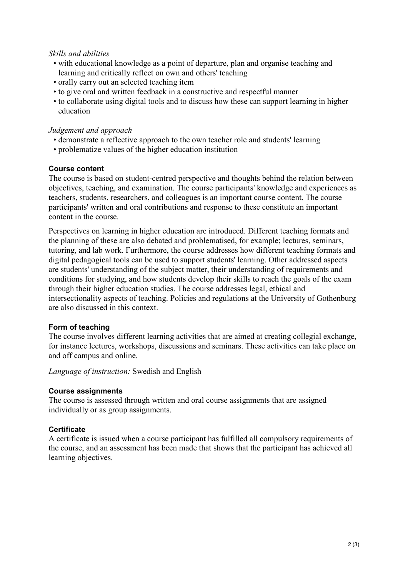#### *Skills and abilities*

- with educational knowledge as a point of departure, plan and organise teaching and learning and critically reflect on own and others' teaching
- orally carry out an selected teaching item
- to give oral and written feedback in a constructive and respectful manner
- to collaborate using digital tools and to discuss how these can support learning in higher education

#### *Judgement and approach*

- demonstrate a reflective approach to the own teacher role and students' learning
- problematize values of the higher education institution

#### **Course content**

The course is based on student-centred perspective and thoughts behind the relation between objectives, teaching, and examination. The course participants' knowledge and experiences as teachers, students, researchers, and colleagues is an important course content. The course participants' written and oral contributions and response to these constitute an important content in the course.

Perspectives on learning in higher education are introduced. Different teaching formats and the planning of these are also debated and problematised, for example; lectures, seminars, tutoring, and lab work. Furthermore, the course addresses how different teaching formats and digital pedagogical tools can be used to support students' learning. Other addressed aspects are students' understanding of the subject matter, their understanding of requirements and conditions for studying, and how students develop their skills to reach the goals of the exam through their higher education studies. The course addresses legal, ethical and intersectionality aspects of teaching. Policies and regulations at the University of Gothenburg are also discussed in this context.

## **Form of teaching**

The course involves different learning activities that are aimed at creating collegial exchange, for instance lectures, workshops, discussions and seminars. These activities can take place on and off campus and online.

*Language of instruction:* Swedish and English

#### **Course assignments**

The course is assessed through written and oral course assignments that are assigned individually or as group assignments.

## **Certificate**

A certificate is issued when a course participant has fulfilled all compulsory requirements of the course, and an assessment has been made that shows that the participant has achieved all learning objectives.